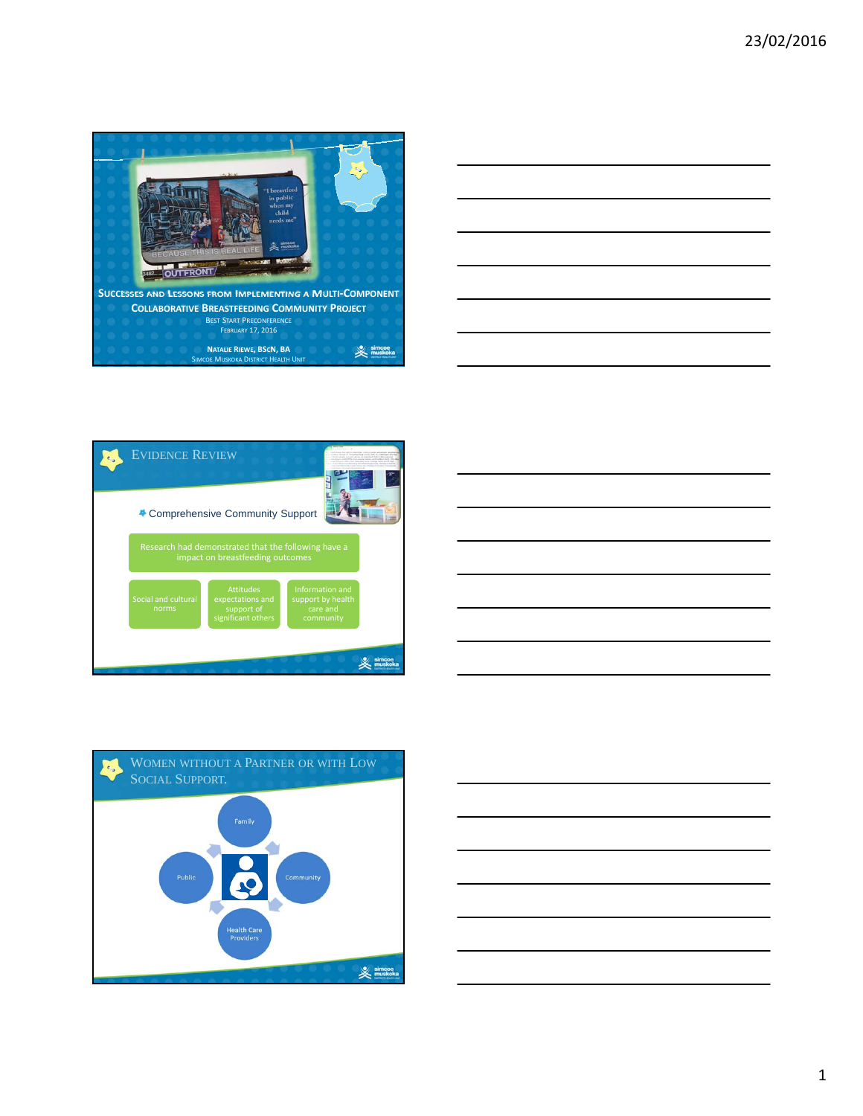









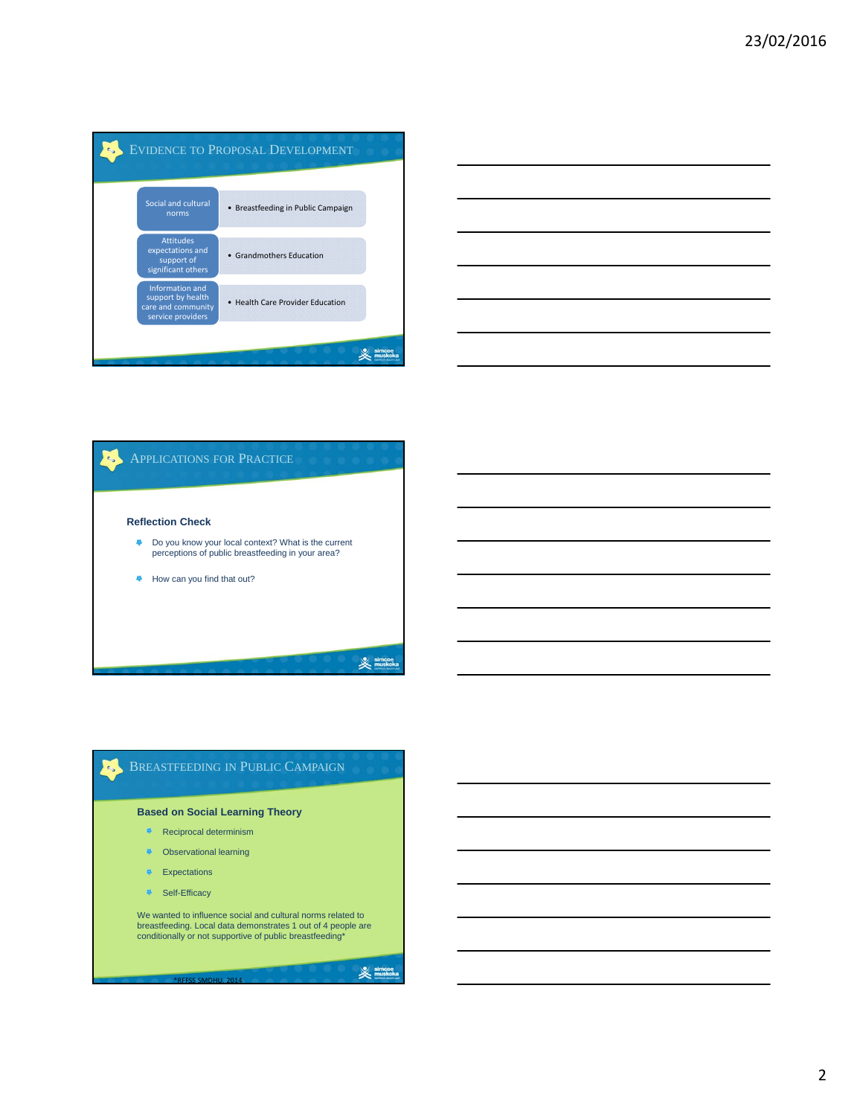







2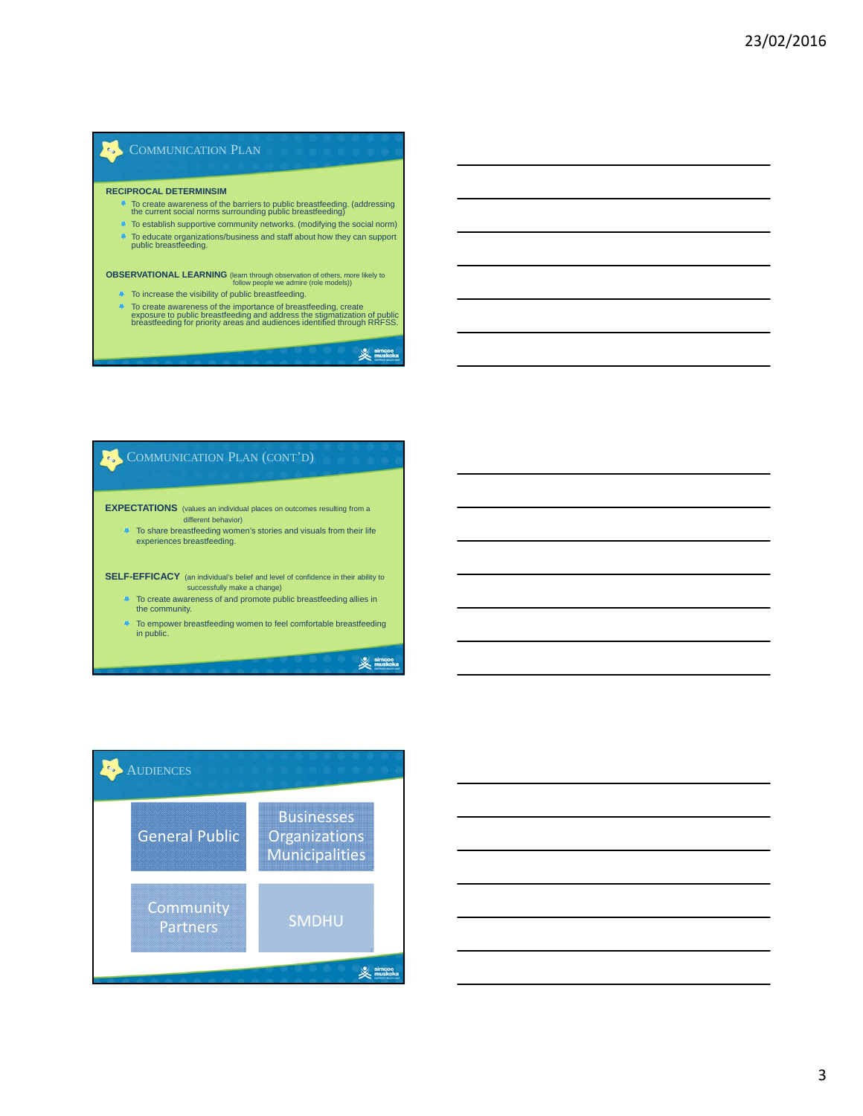# COMMUNICATION PLAN

#### **RECIPROCAL DETERMINSIM**

 $\mathcal{L}_{\mathbf{S}}$ 

- To create awareness of the barriers to public breastfeeding. (addressing the current social norms surrounding public breastfeeding)
- <sup>4</sup> To establish supportive community networks. (modifying the social norm)
- To educate organizations/business and staff about how they can support public breastfeeding.

**OBSERVATIONAL LEARNING** (learn through observation of others, more likely to<br>follow people we admire (role models))

- <sup>4</sup> To increase the visibility of public breastfeeding.
- To create awareness of the importance of breastfeeding, create exposure to public breastfeeding and address the stigmatization of public breastfeeding for priority areas and audiences identified through RRFSS.

COMMUNICATION PLAN (CONT'D) e, **EXPECTATIONS** (values an individual places on outcomes resulting from a different behavior)  $\bullet$  To share breastfeeding women's stories and visuals from their life experiences breastfeeding. **SELF-EFFICACY** (an individual's belief and level of confidence in their ability to successfully make a change)  $\blacksquare$  To create awareness of and promote public breastfeeding allies in the community.

To empower breastfeeding women to feel comfortable breastfeeding in public.

 $\mathbb{\mathbb{X}}$  simcoe

 $\mathbb{\mathbb{X}}$  simcoe



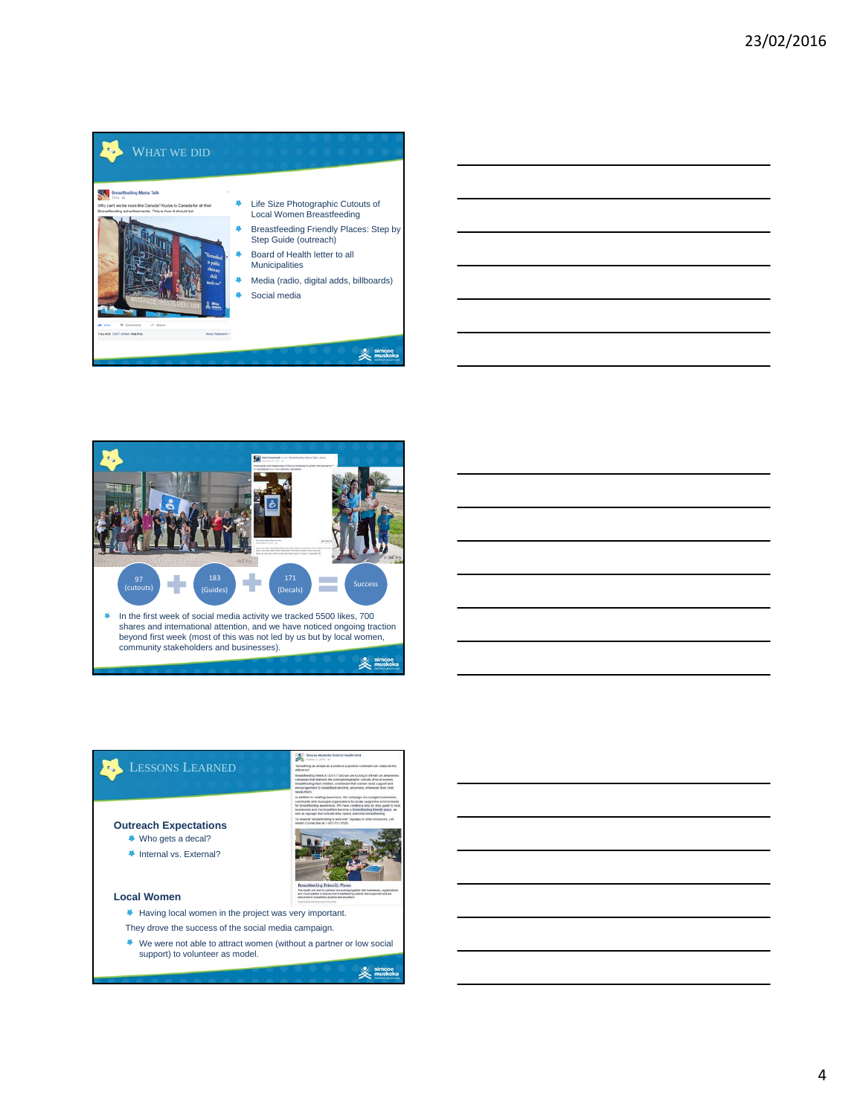

| <u> 1989 - Johann Stoff, deutscher Stoff, der Stoff, der Stoff, der Stoff, der Stoff, der Stoff, der Stoff, der S</u>  |  |  |
|------------------------------------------------------------------------------------------------------------------------|--|--|
|                                                                                                                        |  |  |
| <u> 1989 - Andrea Andrea Andrea Andrea Andrea Andrea Andrea Andrea Andrea Andrea Andrea Andrea Andrea Andrea And</u>   |  |  |
| <u> 1989 - Johann Barn, mars ann an t-Amhain ann an t-Amhain ann an t-Amhain ann an t-Amhain an t-Amhain ann an t-</u> |  |  |
|                                                                                                                        |  |  |
| <u> 1989 - Johann Barn, amerikan bernama di sebagai bernama dan bernama di sebagai bernama dalam bernama dalam b</u>   |  |  |
|                                                                                                                        |  |  |



#### LESSONS LEARNED e,

### **Outreach Expectations**

- ◆ Who gets a decal?
- Internal vs. External?

### **Local Women**

- Having local women in the project was very important.
- They drove the success of the social media campaign.
- We were not able to attract women (without a partner or low social support) to volunteer as model.

 $\mathbb{X}$  simes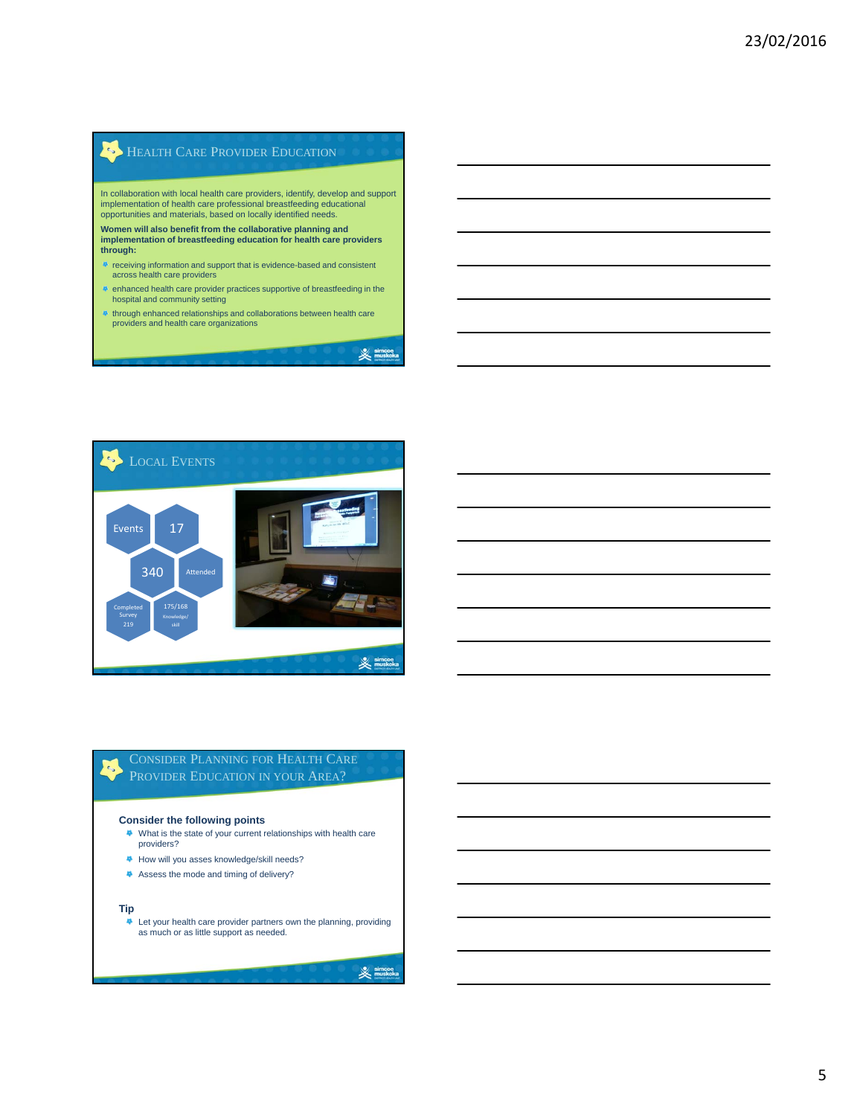# **HEALTH CARE PROVIDER EDUCATION**

In collaboration with local health care providers, identify, develop and support implementation of health care professional breastfeeding educational opportunities and materials, based on locally identified needs.

**Women will also benefit from the collaborative planning and implementation of breastfeeding education for health care providers through:** 

- receiving information and support that is evidence-based and consistent across health care providers
- enhanced health care provider practices supportive of breastfeeding in the hospital and community setting
- through enhanced relationships and collaborations between health care providers and health care organizations

 $\mathcal{L}_{\mathbf{z}}$ Events 17 340 Attended Completed 175/168 Survey Knowledge/ 219  $\frac{1}{2}$  simce

## CONSIDER PLANNING FOR HEALTH CARE PROVIDER EDUCATION IN YOUR AREA?

### **Consider the following points**

- What is the state of your current relationships with health care providers?
- How will you asses knowledge/skill needs?
- Assess the mode and timing of delivery?

### **Tip**

 $\epsilon_{\rm s}$ 

Let your health care provider partners own the planning, providing as much or as little support as needed.

### $\mathbb{\mathbb{X}}$  simco

 $\mathbb{\mathbb{X}}$  simcos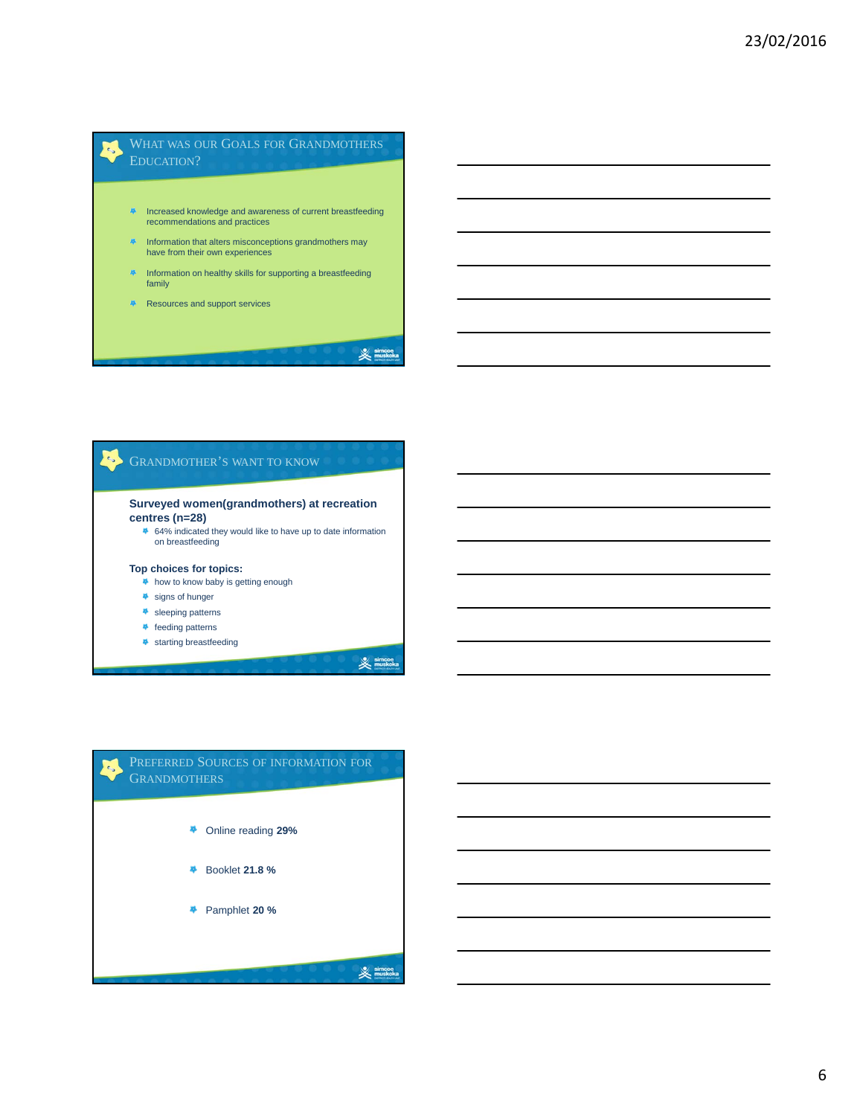## WHAT WAS OUR GOALS FOR GRANDMOTHERS EDUCATION?

- **A** Increased knowledge and awareness of current breastfeeding recommendations and practices
- **Information that alters misconceptions grandmothers may** have from their own experiences
- **Information on healthy skills for supporting a breastfeeding** family
- Resources and support services

 $\epsilon_{\rm b}$ 

 $\mathcal{O}$ 

## GRANDMOTHER'S WANT TO KNOW

### **Surveyed women(grandmothers) at recreation centres (n=28)**

64% indicated they would like to have up to date information on breastfeeding

### **Top choices for topics:**

- <sup>1</sup> how to know baby is getting enough
- signs of hunger
- \* sleeping patterns
- **\*** feeding patterns
- **\*** starting breastfeeding

 $\mathbb{X}$  simcoe

 $\mathbb{\mathbb{X}}$  simcoe